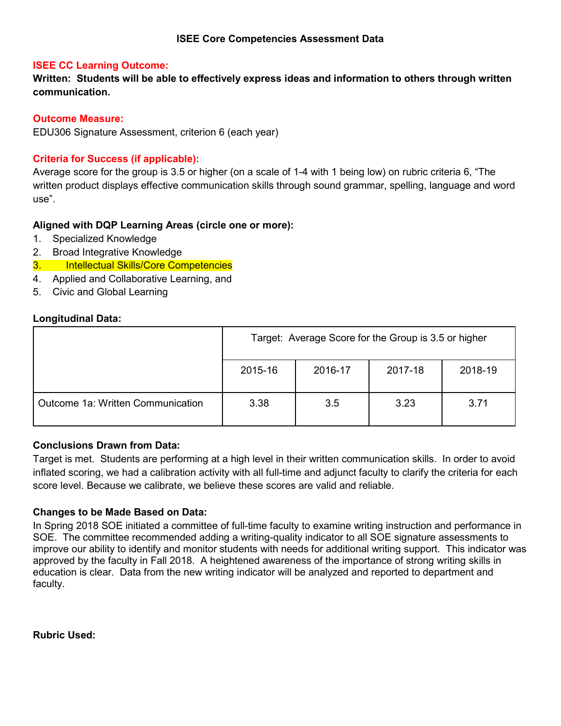### **ISEE Core Competencies Assessment Data**

### **ISEE CC Learning Outcome:**

**Written: Students will be able to effectively express ideas and information to others through written communication.**

### **Outcome Measure:**

EDU306 Signature Assessment, criterion 6 (each year)

### **Criteria for Success (if applicable):**

Average score for the group is 3.5 or higher (on a scale of 1-4 with 1 being low) on rubric criteria 6, "The written product displays effective communication skills through sound grammar, spelling, language and word use".

### **Aligned with DQP Learning Areas (circle one or more):**

- 1. Specialized Knowledge
- 2. Broad Integrative Knowledge
- 3. Intellectual Skills/Core Competencies
- 4. Applied and Collaborative Learning, and
- 5. Civic and Global Learning

### **Longitudinal Data:**

|                                   | Target: Average Score for the Group is 3.5 or higher |     |      |      |  |
|-----------------------------------|------------------------------------------------------|-----|------|------|--|
|                                   | 2015-16<br>2016-17<br>2017-18<br>2018-19             |     |      |      |  |
| Outcome 1a: Written Communication | 3.38                                                 | 3.5 | 3.23 | 3.71 |  |

### **Conclusions Drawn from Data:**

Target is met. Students are performing at a high level in their written communication skills. In order to avoid inflated scoring, we had a calibration activity with all full-time and adjunct faculty to clarify the criteria for each score level. Because we calibrate, we believe these scores are valid and reliable.

### **Changes to be Made Based on Data:**

In Spring 2018 SOE initiated a committee of full-time faculty to examine writing instruction and performance in SOE. The committee recommended adding a writing-quality indicator to all SOE signature assessments to improve our ability to identify and monitor students with needs for additional writing support. This indicator was approved by the faculty in Fall 2018. A heightened awareness of the importance of strong writing skills in education is clear. Data from the new writing indicator will be analyzed and reported to department and faculty.

**Rubric Used:**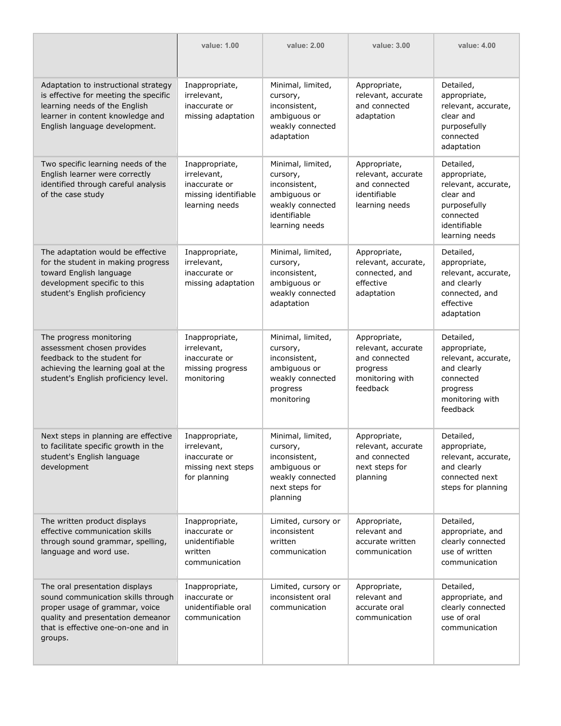|                                                                                                                                                                                               | value: 1.00                                                                              | value: 2.00                                                                                                          | value: 3.00                                                                                    | value: 4.00                                                                                                                  |
|-----------------------------------------------------------------------------------------------------------------------------------------------------------------------------------------------|------------------------------------------------------------------------------------------|----------------------------------------------------------------------------------------------------------------------|------------------------------------------------------------------------------------------------|------------------------------------------------------------------------------------------------------------------------------|
| Adaptation to instructional strategy<br>is effective for meeting the specific<br>learning needs of the English<br>learner in content knowledge and<br>English language development.           | Inappropriate,<br>irrelevant,<br>inaccurate or<br>missing adaptation                     | Minimal, limited,<br>cursory,<br>inconsistent,<br>ambiguous or<br>weakly connected<br>adaptation                     | Appropriate,<br>relevant, accurate<br>and connected<br>adaptation                              | Detailed,<br>appropriate,<br>relevant, accurate,<br>clear and<br>purposefully<br>connected<br>adaptation                     |
| Two specific learning needs of the<br>English learner were correctly<br>identified through careful analysis<br>of the case study                                                              | Inappropriate,<br>irrelevant,<br>inaccurate or<br>missing identifiable<br>learning needs | Minimal, limited,<br>cursory,<br>inconsistent,<br>ambiguous or<br>weakly connected<br>identifiable<br>learning needs | Appropriate,<br>relevant, accurate<br>and connected<br>identifiable<br>learning needs          | Detailed,<br>appropriate,<br>relevant, accurate,<br>clear and<br>purposefully<br>connected<br>identifiable<br>learning needs |
| The adaptation would be effective<br>for the student in making progress<br>toward English language<br>development specific to this<br>student's English proficiency                           | Inappropriate,<br>irrelevant,<br>inaccurate or<br>missing adaptation                     | Minimal, limited,<br>cursory,<br>inconsistent,<br>ambiguous or<br>weakly connected<br>adaptation                     | Appropriate,<br>relevant, accurate,<br>connected, and<br>effective<br>adaptation               | Detailed,<br>appropriate,<br>relevant, accurate,<br>and clearly<br>connected, and<br>effective<br>adaptation                 |
| The progress monitoring<br>assessment chosen provides<br>feedback to the student for<br>achieving the learning goal at the<br>student's English proficiency level.                            | Inappropriate,<br>irrelevant,<br>inaccurate or<br>missing progress<br>monitoring         | Minimal, limited,<br>cursory,<br>inconsistent,<br>ambiguous or<br>weakly connected<br>progress<br>monitoring         | Appropriate,<br>relevant, accurate<br>and connected<br>progress<br>monitoring with<br>feedback | Detailed,<br>appropriate,<br>relevant, accurate,<br>and clearly<br>connected<br>progress<br>monitoring with<br>feedback      |
| Next steps in planning are effective<br>to facilitate specific growth in the<br>student's English language<br>development                                                                     | Inappropriate,<br>irrelevant,<br>inaccurate or<br>missing next steps<br>for planning     | Minimal, limited,<br>cursory,<br>inconsistent,<br>ambiguous or<br>weakly connected<br>next steps for<br>planning     | Appropriate,<br>relevant, accurate<br>and connected<br>next steps for<br>planning              | Detailed,<br>appropriate,<br>relevant, accurate,<br>and clearly<br>connected next<br>steps for planning                      |
| The written product displays<br>effective communication skills<br>through sound grammar, spelling,<br>language and word use.                                                                  | Inappropriate,<br>inaccurate or<br>unidentifiable<br>written<br>communication            | Limited, cursory or<br>inconsistent<br>written<br>communication                                                      | Appropriate,<br>relevant and<br>accurate written<br>communication                              | Detailed,<br>appropriate, and<br>clearly connected<br>use of written<br>communication                                        |
| The oral presentation displays<br>sound communication skills through<br>proper usage of grammar, voice<br>quality and presentation demeanor<br>that is effective one-on-one and in<br>groups. | Inappropriate,<br>inaccurate or<br>unidentifiable oral<br>communication                  | Limited, cursory or<br>inconsistent oral<br>communication                                                            | Appropriate,<br>relevant and<br>accurate oral<br>communication                                 | Detailed,<br>appropriate, and<br>clearly connected<br>use of oral<br>communication                                           |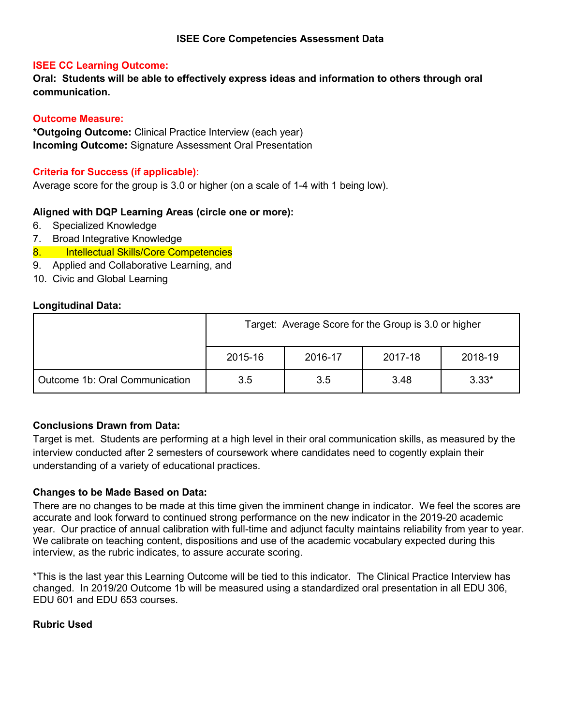**Oral: Students will be able to effectively express ideas and information to others through oral communication.**

### **Outcome Measure:**

**\*Outgoing Outcome:** Clinical Practice Interview (each year) **Incoming Outcome:** Signature Assessment Oral Presentation

### **Criteria for Success (if applicable):**

Average score for the group is 3.0 or higher (on a scale of 1-4 with 1 being low).

### **Aligned with DQP Learning Areas (circle one or more):**

- 6. Specialized Knowledge
- 7. Broad Integrative Knowledge
- 8. Intellectual Skills/Core Competencies
- 9. Applied and Collaborative Learning, and
- 10. Civic and Global Learning

### **Longitudinal Data:**

|                                | Target: Average Score for the Group is 3.0 or higher |     |      |         |  |
|--------------------------------|------------------------------------------------------|-----|------|---------|--|
|                                | 2016-17<br>2018-19<br>2015-16<br>2017-18             |     |      |         |  |
| Outcome 1b: Oral Communication | 3.5                                                  | 3.5 | 3.48 | $3.33*$ |  |

### **Conclusions Drawn from Data:**

Target is met. Students are performing at a high level in their oral communication skills, as measured by the interview conducted after 2 semesters of coursework where candidates need to cogently explain their understanding of a variety of educational practices.

### **Changes to be Made Based on Data:**

There are no changes to be made at this time given the imminent change in indicator. We feel the scores are accurate and look forward to continued strong performance on the new indicator in the 2019-20 academic year. Our practice of annual calibration with full-time and adjunct faculty maintains reliability from year to year. We calibrate on teaching content, dispositions and use of the academic vocabulary expected during this interview, as the rubric indicates, to assure accurate scoring.

\*This is the last year this Learning Outcome will be tied to this indicator. The Clinical Practice Interview has changed. In 2019/20 Outcome 1b will be measured using a standardized oral presentation in all EDU 306, EDU 601 and EDU 653 courses.

### **Rubric Used**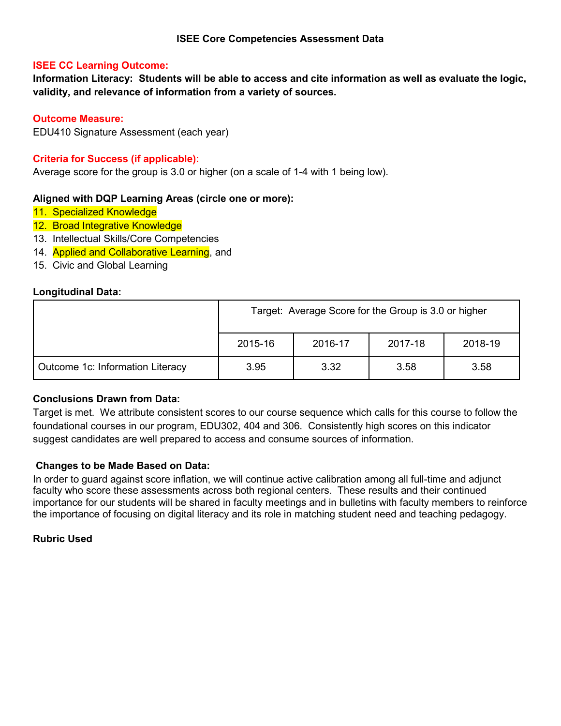**Information Literacy: Students will be able to access and cite information as well as evaluate the logic, validity, and relevance of information from a variety of sources.**

### **Outcome Measure:**

EDU410 Signature Assessment (each year)

### **Criteria for Success (if applicable):**

Average score for the group is 3.0 or higher (on a scale of 1-4 with 1 being low).

### **Aligned with DQP Learning Areas (circle one or more):**

- 11. Specialized Knowledge
- 12. Broad Integrative Knowledge
- 13. Intellectual Skills/Core Competencies
- 14. Applied and Collaborative Learning, and
- 15. Civic and Global Learning

### **Longitudinal Data:**

|                                  | Target: Average Score for the Group is 3.0 or higher |      |      |      |  |
|----------------------------------|------------------------------------------------------|------|------|------|--|
|                                  | 2018-19<br>2015-16<br>2016-17<br>2017-18             |      |      |      |  |
| Outcome 1c: Information Literacy | 3.95                                                 | 3.32 | 3.58 | 3.58 |  |

### **Conclusions Drawn from Data:**

Target is met. We attribute consistent scores to our course sequence which calls for this course to follow the foundational courses in our program, EDU302, 404 and 306. Consistently high scores on this indicator suggest candidates are well prepared to access and consume sources of information.

### **Changes to be Made Based on Data:**

In order to guard against score inflation, we will continue active calibration among all full-time and adjunct faculty who score these assessments across both regional centers. These results and their continued importance for our students will be shared in faculty meetings and in bulletins with faculty members to reinforce the importance of focusing on digital literacy and its role in matching student need and teaching pedagogy.

### **Rubric Used**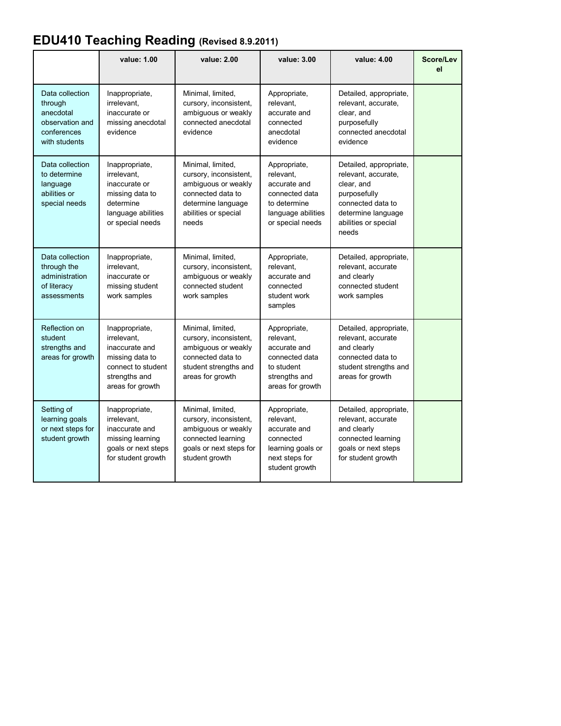# **EDU410 Teaching Reading (Revised 8.9.2011)**

|                                                                                            | value: 1.00                                                                                                                   | value: 2.00                                                                                                                                    | value: 3.00                                                                                                           | value: 4.00                                                                                                                                             | <b>Score/Lev</b><br>el |
|--------------------------------------------------------------------------------------------|-------------------------------------------------------------------------------------------------------------------------------|------------------------------------------------------------------------------------------------------------------------------------------------|-----------------------------------------------------------------------------------------------------------------------|---------------------------------------------------------------------------------------------------------------------------------------------------------|------------------------|
| Data collection<br>through<br>anecdotal<br>observation and<br>conferences<br>with students | Inappropriate,<br>irrelevant.<br>inaccurate or<br>missing anecdotal<br>evidence                                               | Minimal, limited,<br>cursory, inconsistent,<br>ambiguous or weakly<br>connected anecdotal<br>evidence                                          | Appropriate,<br>relevant.<br>accurate and<br>connected<br>anecdotal<br>evidence                                       | Detailed, appropriate,<br>relevant, accurate,<br>clear, and<br>purposefully<br>connected anecdotal<br>evidence                                          |                        |
| Data collection<br>to determine<br>language<br>abilities or<br>special needs               | Inappropriate,<br>irrelevant.<br>inaccurate or<br>missing data to<br>determine<br>language abilities<br>or special needs      | Minimal, limited,<br>cursory, inconsistent,<br>ambiguous or weakly<br>connected data to<br>determine language<br>abilities or special<br>needs | Appropriate,<br>relevant,<br>accurate and<br>connected data<br>to determine<br>language abilities<br>or special needs | Detailed, appropriate,<br>relevant, accurate,<br>clear, and<br>purposefully<br>connected data to<br>determine language<br>abilities or special<br>needs |                        |
| Data collection<br>through the<br>administration<br>of literacy<br>assessments             | Inappropriate,<br>irrelevant,<br>inaccurate or<br>missing student<br>work samples                                             | Minimal, limited,<br>cursory, inconsistent,<br>ambiguous or weakly<br>connected student<br>work samples                                        | Appropriate,<br>relevant,<br>accurate and<br>connected<br>student work<br>samples                                     | Detailed, appropriate,<br>relevant, accurate<br>and clearly<br>connected student<br>work samples                                                        |                        |
| Reflection on<br>student<br>strengths and<br>areas for growth                              | Inappropriate,<br>irrelevant.<br>inaccurate and<br>missing data to<br>connect to student<br>strengths and<br>areas for growth | Minimal, limited,<br>cursory, inconsistent,<br>ambiguous or weakly<br>connected data to<br>student strengths and<br>areas for growth           | Appropriate,<br>relevant,<br>accurate and<br>connected data<br>to student<br>strengths and<br>areas for growth        | Detailed, appropriate,<br>relevant. accurate<br>and clearly<br>connected data to<br>student strengths and<br>areas for growth                           |                        |
| Setting of<br>learning goals<br>or next steps for<br>student growth                        | Inappropriate,<br>irrelevant.<br>inaccurate and<br>missing learning<br>goals or next steps<br>for student growth              | Minimal, limited,<br>cursory, inconsistent,<br>ambiguous or weakly<br>connected learning<br>goals or next steps for<br>student growth          | Appropriate,<br>relevant.<br>accurate and<br>connected<br>learning goals or<br>next steps for<br>student growth       | Detailed, appropriate,<br>relevant, accurate<br>and clearly<br>connected learning<br>goals or next steps<br>for student growth                          |                        |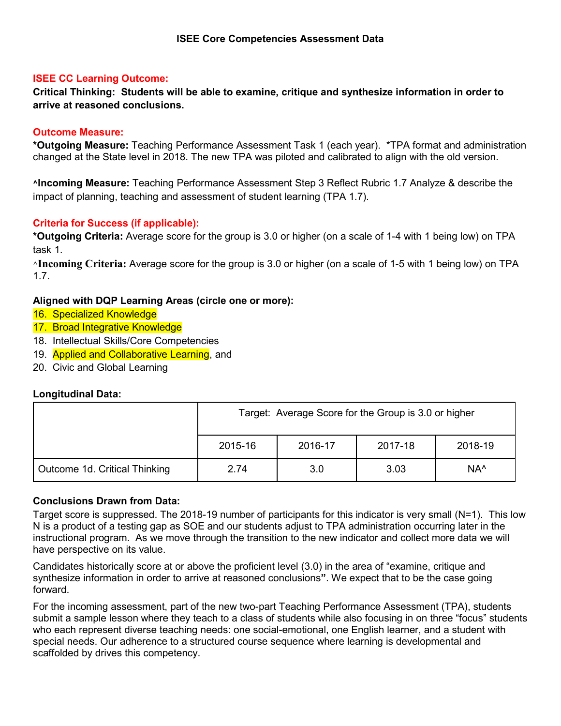**Critical Thinking: Students will be able to examine, critique and synthesize information in order to arrive at reasoned conclusions.**

### **Outcome Measure:**

**\*Outgoing Measure:** Teaching Performance Assessment Task 1 (each year). \*TPA format and administration changed at the State level in 2018. The new TPA was piloted and calibrated to align with the old version.

**^Incoming Measure:** Teaching Performance Assessment Step 3 Reflect Rubric 1.7 Analyze & describe the impact of planning, teaching and assessment of student learning (TPA 1.7).

### **Criteria for Success (if applicable):**

**\*Outgoing Criteria:** Average score for the group is 3.0 or higher (on a scale of 1-4 with 1 being low) on TPA task 1.

**^Incoming Criteria:** Average score for the group is 3.0 or higher (on a scale of 1-5 with 1 being low) on TPA 1.7.

### **Aligned with DQP Learning Areas (circle one or more):**

- 16. Specialized Knowledge
- 17. Broad Integrative Knowledge
- 18. Intellectual Skills/Core Competencies
- 19. Applied and Collaborative Learning, and
- 20. Civic and Global Learning

### **Longitudinal Data:**

|                               | Target: Average Score for the Group is 3.0 or higher |         |         |                 |
|-------------------------------|------------------------------------------------------|---------|---------|-----------------|
|                               | 2015-16                                              | 2016-17 | 2017-18 | 2018-19         |
| Outcome 1d. Critical Thinking | 2.74                                                 | 3.0     | 3.03    | NA <sup>^</sup> |

### **Conclusions Drawn from Data:**

Target score is suppressed. The 2018-19 number of participants for this indicator is very small (N=1). This low N is a product of a testing gap as SOE and our students adjust to TPA administration occurring later in the instructional program. As we move through the transition to the new indicator and collect more data we will have perspective on its value.

Candidates historically score at or above the proficient level (3.0) in the area of "examine, critique and synthesize information in order to arrive at reasoned conclusions**"**. We expect that to be the case going forward.

For the incoming assessment, part of the new two-part Teaching Performance Assessment (TPA), students submit a sample lesson where they teach to a class of students while also focusing in on three "focus" students who each represent diverse teaching needs: one social-emotional, one English learner, and a student with special needs. Our adherence to a structured course sequence where learning is developmental and scaffolded by drives this competency.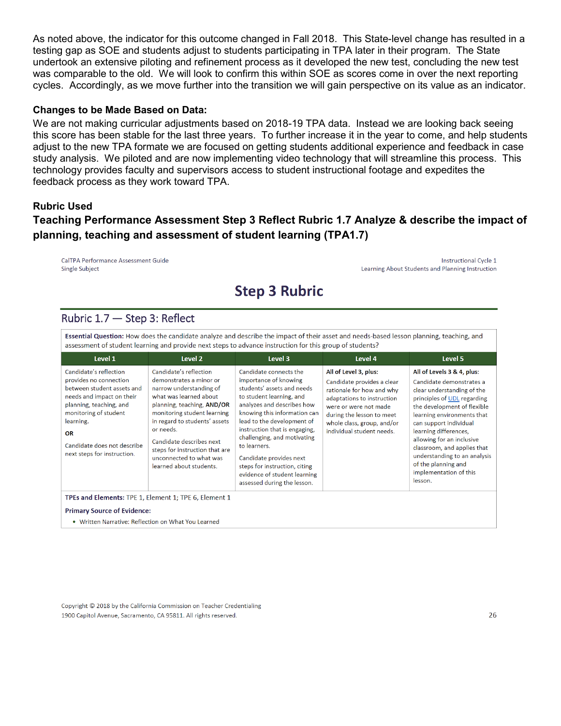As noted above, the indicator for this outcome changed in Fall 2018. This State-level change has resulted in a testing gap as SOE and students adjust to students participating in TPA later in their program. The State undertook an extensive piloting and refinement process as it developed the new test, concluding the new test was comparable to the old. We will look to confirm this within SOE as scores come in over the next reporting cycles. Accordingly, as we move further into the transition we will gain perspective on its value as an indicator.

#### **Changes to be Made Based on Data:**

We are not making curricular adjustments based on 2018-19 TPA data. Instead we are looking back seeing this score has been stable for the last three years. To further increase it in the year to come, and help students adjust to the new TPA formate we are focused on getting students additional experience and feedback in case study analysis. We piloted and are now implementing video technology that will streamline this process. This technology provides faculty and supervisors access to student instructional footage and expedites the feedback process as they work toward TPA.

### **Rubric Used**

## **Teaching Performance Assessment Step 3 Reflect Rubric 1.7 Analyze & describe the impact of planning, teaching and assessment of student learning (TPA1.7)**

CalTPA Performance Assessment Guide **Single Subject** 

**Instructional Cycle 1** Learning About Students and Planning Instruction

## **Step 3 Rubric**

### Rubric 1.7 - Step 3: Reflect

Essential Question: How does the candidate analyze and describe the impact of their asset and needs-based lesson planning, teaching, and assessment of student learning and provide next steps to advance instruction for this group of students?

| Level 1                                                                                                                                                                                                                                          | Level 2                                                                                                                                                                                                                                                                                                                               | Level 3                                                                                                                                                                                                                                                                                                                                                                                                          | Level 4                                                                                                                                                                                                                         | Level 5                                                                                                                                                                                                                                                                                                                                                                                     |  |  |  |
|--------------------------------------------------------------------------------------------------------------------------------------------------------------------------------------------------------------------------------------------------|---------------------------------------------------------------------------------------------------------------------------------------------------------------------------------------------------------------------------------------------------------------------------------------------------------------------------------------|------------------------------------------------------------------------------------------------------------------------------------------------------------------------------------------------------------------------------------------------------------------------------------------------------------------------------------------------------------------------------------------------------------------|---------------------------------------------------------------------------------------------------------------------------------------------------------------------------------------------------------------------------------|---------------------------------------------------------------------------------------------------------------------------------------------------------------------------------------------------------------------------------------------------------------------------------------------------------------------------------------------------------------------------------------------|--|--|--|
| Candidate's reflection<br>provides no connection<br>between student assets and<br>needs and impact on their<br>planning, teaching, and<br>monitoring of student<br>learning.<br>OR<br>Candidate does not describe<br>next steps for instruction. | Candidate's reflection<br>demonstrates a minor or<br>narrow understanding of<br>what was learned about<br>planning, teaching, AND/OR<br>monitoring student learning<br>in regard to students' assets<br>or needs.<br>Candidate describes next<br>steps for instruction that are<br>unconnected to what was<br>learned about students. | Candidate connects the<br>importance of knowing<br>students' assets and needs<br>to student learning, and<br>analyzes and describes how<br>knowing this information can<br>lead to the development of<br>instruction that is engaging,<br>challenging, and motivating<br>to learners.<br>Candidate provides next<br>steps for instruction, citing<br>evidence of student learning<br>assessed during the lesson. | All of Level 3, plus:<br>Candidate provides a clear<br>rationale for how and why<br>adaptations to instruction<br>were or were not made<br>during the lesson to meet<br>whole class, group, and/or<br>individual student needs. | All of Levels 3 & 4, plus:<br>Candidate demonstrates a<br>clear understanding of the<br>principles of UDL regarding<br>the development of flexible<br>learning environments that<br>can support individual<br>learning differences,<br>allowing for an inclusive<br>classroom, and applies that<br>understanding to an analysis<br>of the planning and<br>implementation of this<br>lesson. |  |  |  |
| TPEs and Elements: TPE 1, Element 1; TPE 6, Element 1<br><b>Primary Source of Evidence:</b>                                                                                                                                                      |                                                                                                                                                                                                                                                                                                                                       |                                                                                                                                                                                                                                                                                                                                                                                                                  |                                                                                                                                                                                                                                 |                                                                                                                                                                                                                                                                                                                                                                                             |  |  |  |

• Written Narrative: Reflection on What You Learned